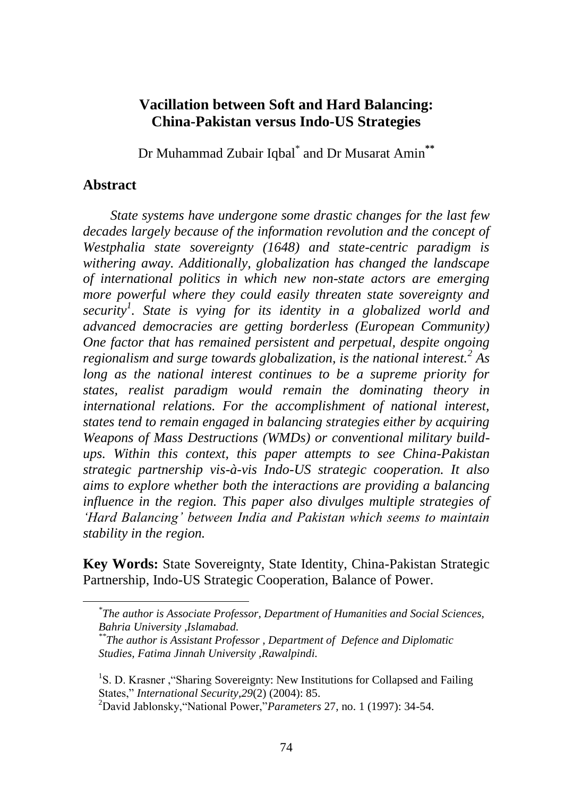## **Vacillation between Soft and Hard Balancing: China-Pakistan versus Indo-US Strategies**

Dr Muhammad Zubair Iqbal\* and Dr Musarat Amin**\*\***

#### **Abstract**

 $\overline{a}$ 

*State systems have undergone some drastic changes for the last few decades largely because of the information revolution and the concept of Westphalia state sovereignty (1648) and state-centric paradigm is withering away. Additionally, globalization has changed the landscape of international politics in which new non-state actors are emerging more powerful where they could easily threaten state sovereignty and security<sup>1</sup> . State is vying for its identity in a globalized world and advanced democracies are getting borderless (European Community) One factor that has remained persistent and perpetual, despite ongoing regionalism and surge towards globalization, is the national interest.<sup>2</sup> As long as the national interest continues to be a supreme priority for states, realist paradigm would remain the dominating theory in international relations. For the accomplishment of national interest, states tend to remain engaged in balancing strategies either by acquiring Weapons of Mass Destructions (WMDs) or conventional military buildups. Within this context, this paper attempts to see China-Pakistan strategic partnership vis-à-vis Indo-US strategic cooperation. It also aims to explore whether both the interactions are providing a balancing influence in the region. This paper also divulges multiple strategies of 'Hard Balancing' between India and Pakistan which seems to maintain stability in the region.*

**Key Words:** State Sovereignty, State Identity, China-Pakistan Strategic Partnership, Indo-US Strategic Cooperation, Balance of Power.

*<sup>\*</sup> The author is Associate Professor, Department of Humanities and Social Sciences, Bahria University ,Islamabad.*

*<sup>\*\*</sup>The author is Assistant Professor , Department of Defence and Diplomatic Studies, Fatima Jinnah University ,Rawalpindi.*

<sup>&</sup>lt;sup>1</sup>S. D. Krasner, "Sharing Sovereignty: New Institutions for Collapsed and Failing States,‖ *International Security*,*29*(2) (2004): 85.

<sup>&</sup>lt;sup>2</sup>David Jablonsky, "National Power,"*Parameters* 27, no. 1 (1997): 34-54.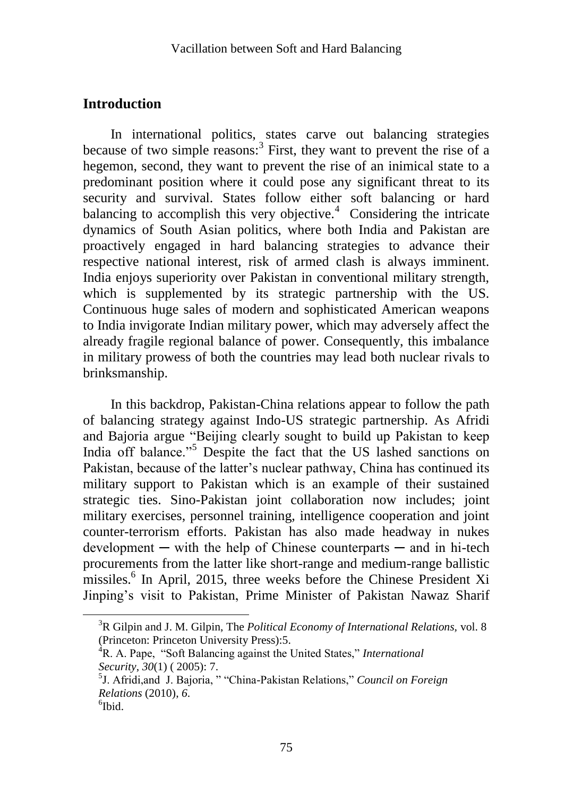## **Introduction**

In international politics, states carve out balancing strategies because of two simple reasons:<sup>3</sup> First, they want to prevent the rise of a hegemon, second, they want to prevent the rise of an inimical state to a predominant position where it could pose any significant threat to its security and survival. States follow either soft balancing or hard balancing to accomplish this very objective. $4$  Considering the intricate dynamics of South Asian politics, where both India and Pakistan are proactively engaged in hard balancing strategies to advance their respective national interest, risk of armed clash is always imminent. India enjoys superiority over Pakistan in conventional military strength, which is supplemented by its strategic partnership with the US. Continuous huge sales of modern and sophisticated American weapons to India invigorate Indian military power, which may adversely affect the already fragile regional balance of power. Consequently, this imbalance in military prowess of both the countries may lead both nuclear rivals to brinksmanship.

In this backdrop, Pakistan-China relations appear to follow the path of balancing strategy against Indo-US strategic partnership. As Afridi and Bajoria argue "Beijing clearly sought to build up Pakistan to keep India off balance."<sup>5</sup> Despite the fact that the US lashed sanctions on Pakistan, because of the latter's nuclear pathway, China has continued its military support to Pakistan which is an example of their sustained strategic ties. Sino-Pakistan joint collaboration now includes; joint military exercises, personnel training, intelligence cooperation and joint counter-terrorism efforts. Pakistan has also made headway in nukes  $development - with the help of Chinese counterparts - and in hi-tech$ procurements from the latter like short-range and medium-range ballistic missiles.<sup>6</sup> In April, 2015, three weeks before the Chinese President Xi Jinping's visit to Pakistan, Prime Minister of Pakistan Nawaz Sharif

<sup>3</sup>R Gilpin and J. M. Gilpin, The *Political Economy of International Relations,* vol. 8 (Princeton: Princeton University Press):5.

<sup>&</sup>lt;sup>4</sup>R. A. Pape, "Soft Balancing against the United States," *International Security*, *30*(1) ( 2005): 7.

<sup>&</sup>lt;sup>5</sup>J. Afridi, and J. Bajoria, ""China-Pakistan Relations," Council on Foreign *Relations* (2010), *6*.

<sup>6</sup> Ibid.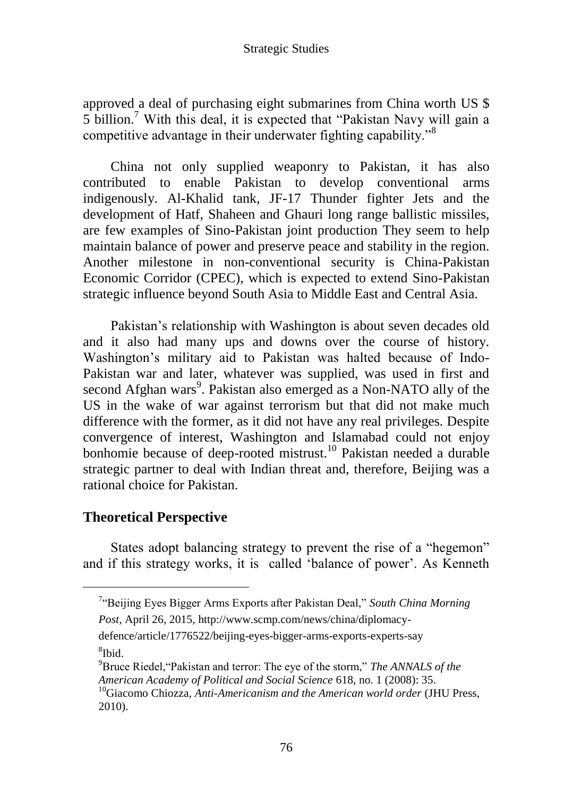approved a deal of purchasing eight submarines from China worth US \$ 5 billion.<sup>7</sup> With this deal, it is expected that "Pakistan Navy will gain a competitive advantage in their underwater fighting capability."<sup>8</sup>

China not only supplied weaponry to Pakistan, it has also contributed to enable Pakistan to develop conventional arms indigenously. Al-Khalid tank, JF-17 Thunder fighter Jets and the development of Hatf, Shaheen and Ghauri long range ballistic missiles, are few examples of Sino-Pakistan joint production They seem to help maintain balance of power and preserve peace and stability in the region. Another milestone in non-conventional security is China-Pakistan Economic Corridor (CPEC), which is expected to extend Sino-Pakistan strategic influence beyond South Asia to Middle East and Central Asia.

Pakistan's relationship with Washington is about seven decades old and it also had many ups and downs over the course of history. Washington's military aid to Pakistan was halted because of Indo-Pakistan war and later, whatever was supplied, was used in first and second Afghan wars<sup>9</sup>. Pakistan also emerged as a Non-NATO ally of the US in the wake of war against terrorism but that did not make much difference with the former, as it did not have any real privileges. Despite convergence of interest, Washington and Islamabad could not enjoy bonhomie because of deep-rooted mistrust.<sup>10</sup> Pakistan needed a durable strategic partner to deal with Indian threat and, therefore, Beijing was a rational choice for Pakistan.

## **Theoretical Perspective**

 $\overline{a}$ 

States adopt balancing strategy to prevent the rise of a "hegemon" and if this strategy works, it is called 'balance of power'. As Kenneth

defence/article/1776522/beijing-eyes-bigger-arms-exports-experts-say 8 Ibid.

<sup>&</sup>lt;sup>7</sup>"Beijing Eyes Bigger Arms Exports after Pakistan Deal," South China Morning

*Post*, April 26, 2015, http://www.scmp.com/news/china/diplomacy-

<sup>&</sup>lt;sup>9</sup>Bruce Riedel, "Pakistan and terror: The eye of the storm," *The ANNALS of the American Academy of Political and Social Science* 618, no. 1 (2008): 35.

<sup>10</sup>Giacomo Chiozza, *Anti-Americanism and the American world order* (JHU Press, 2010).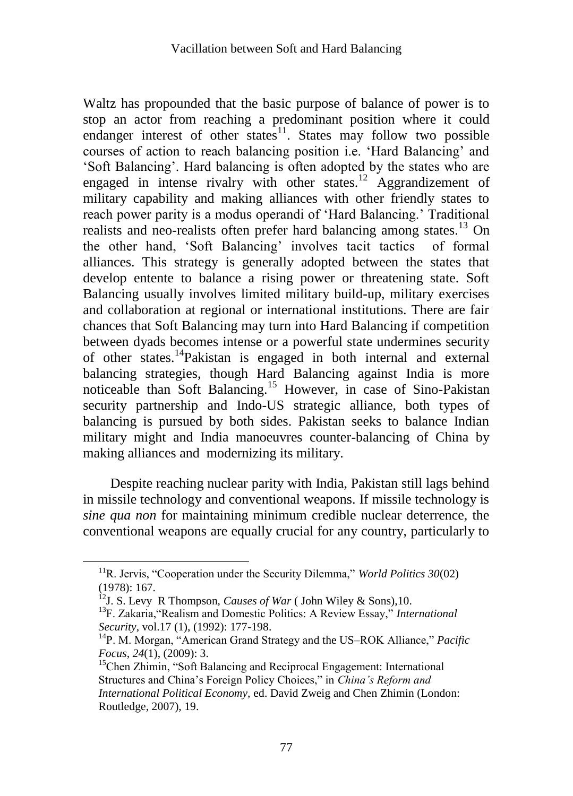Waltz has propounded that the basic purpose of balance of power is to stop an actor from reaching a predominant position where it could endanger interest of other states<sup>11</sup>. States may follow two possible courses of action to reach balancing position i.e. ‗Hard Balancing' and ‗Soft Balancing'. Hard balancing is often adopted by the states who are engaged in intense rivalry with other states.<sup>12</sup> Aggrandizement of military capability and making alliances with other friendly states to reach power parity is a modus operandi of 'Hard Balancing.' Traditional realists and neo-realists often prefer hard balancing among states.<sup>13</sup> On the other hand, ‗Soft Balancing' involves tacit tactics of formal alliances. This strategy is generally adopted between the states that develop entente to balance a rising power or threatening state. Soft Balancing usually involves limited military build-up, military exercises and collaboration at regional or international institutions. There are fair chances that Soft Balancing may turn into Hard Balancing if competition between dyads becomes intense or a powerful state undermines security of other states.<sup>14</sup>Pakistan is engaged in both internal and external balancing strategies, though Hard Balancing against India is more noticeable than Soft Balancing.<sup>15</sup> However, in case of Sino-Pakistan security partnership and Indo-US strategic alliance, both types of balancing is pursued by both sides. Pakistan seeks to balance Indian military might and India manoeuvres counter-balancing of China by making alliances and modernizing its military.

Despite reaching nuclear parity with India, Pakistan still lags behind in missile technology and conventional weapons. If missile technology is *sine qua non* for maintaining minimum credible nuclear deterrence, the conventional weapons are equally crucial for any country, particularly to

<sup>&</sup>lt;sup>11</sup>R. Jervis, "Cooperation under the Security Dilemma," *World Politics 30*(02) (1978): 167.

<sup>12</sup>J. S. Levy R Thompson, *Causes of War* ( John Wiley & Sons),10.

<sup>&</sup>lt;sup>13</sup>F. Zakaria, "Realism and Domestic Politics: A Review Essay," *International Security*, vol.17 (1), (1992): 177-198.

<sup>&</sup>lt;sup>14</sup>P. M. Morgan, "American Grand Strategy and the US–ROK Alliance," *Pacific Focus*, *24*(1), (2009): 3.

<sup>&</sup>lt;sup>15</sup>Chen Zhimin, "Soft Balancing and Reciprocal Engagement: International Structures and China's Foreign Policy Choices," in *China's Reform and International Political Economy,* ed. David Zweig and Chen Zhimin (London: Routledge, 2007), 19.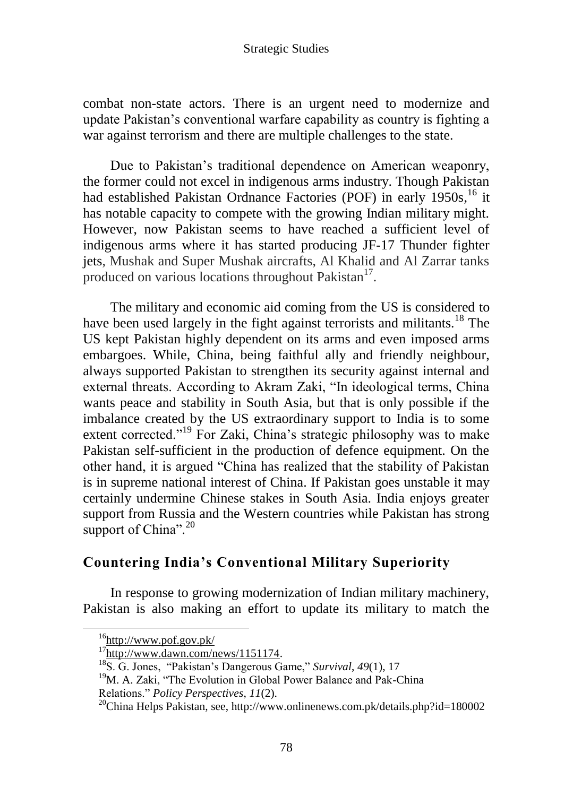combat non-state actors. There is an urgent need to modernize and update Pakistan's conventional warfare capability as country is fighting a war against terrorism and there are multiple challenges to the state.

Due to Pakistan's traditional dependence on American weaponry, the former could not excel in indigenous arms industry. Though Pakistan had established Pakistan Ordnance Factories (POF) in early 1950s, <sup>16</sup> it has notable capacity to compete with the growing Indian military might. However, now Pakistan seems to have reached a sufficient level of indigenous arms where it has started producing JF-17 Thunder fighter jets, Mushak and Super Mushak aircrafts, Al Khalid and Al Zarrar tanks produced on various locations throughout Pakistan<sup>17</sup>.

The military and economic aid coming from the US is considered to have been used largely in the fight against terrorists and militants.<sup>18</sup> The US kept Pakistan highly dependent on its arms and even imposed arms embargoes. While, China, being faithful ally and friendly neighbour, always supported Pakistan to strengthen its security against internal and external threats. According to Akram Zaki, "In ideological terms, China wants peace and stability in South Asia, but that is only possible if the imbalance created by the US extraordinary support to India is to some extent corrected."<sup>19</sup> For Zaki, China's strategic philosophy was to make Pakistan self-sufficient in the production of defence equipment. On the other hand, it is argued "China has realized that the stability of Pakistan is in supreme national interest of China. If Pakistan goes unstable it may certainly undermine Chinese stakes in South Asia. India enjoys greater support from Russia and the Western countries while Pakistan has strong support of China". $^{20}$ 

## **Countering India's Conventional Military Superiority**

In response to growing modernization of Indian military machinery, Pakistan is also making an effort to update its military to match the

 $^{16}$ <http://www.pof.gov.pk/>

 $17$ [http://www.dawn.com/news/1151174.](http://www.dawn.com/news/1151174)

<sup>&</sup>lt;sup>18</sup>S. G. Jones, "Pakistan's Dangerous Game," *Survival*, 49(1), 17

 $19$ M. A. Zaki, "The Evolution in Global Power Balance and Pak-China

Relations.‖ *Policy Perspectives*, *11*(2).

 $20$ China Helps Pakistan, see, http://www.onlinenews.com.pk/details.php?id=180002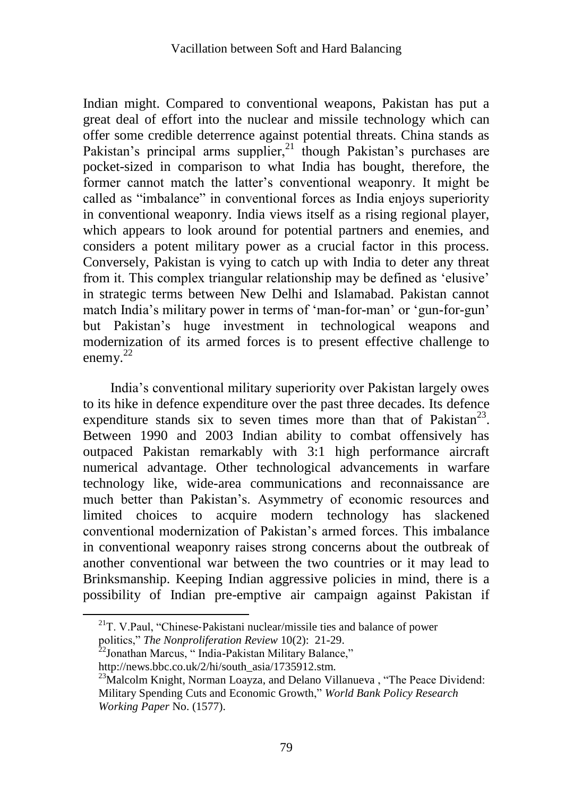Indian might. Compared to conventional weapons, Pakistan has put a great deal of effort into the nuclear and missile technology which can offer some credible deterrence against potential threats. China stands as Pakistan's principal arms supplier, $21$  though Pakistan's purchases are pocket-sized in comparison to what India has bought, therefore, the former cannot match the latter's conventional weaponry. It might be called as "imbalance" in conventional forces as India enjoys superiority in conventional weaponry. India views itself as a rising regional player, which appears to look around for potential partners and enemies, and considers a potent military power as a crucial factor in this process. Conversely, Pakistan is vying to catch up with India to deter any threat from it. This complex triangular relationship may be defined as 'elusive' in strategic terms between New Delhi and Islamabad. Pakistan cannot match India's military power in terms of 'man-for-man' or 'gun-for-gun' but Pakistan's huge investment in technological weapons and modernization of its armed forces is to present effective challenge to enemy.<sup>22</sup>

India's conventional military superiority over Pakistan largely owes to its hike in defence expenditure over the past three decades. Its defence expenditure stands six to seven times more than that of Pakistan<sup>23</sup>. Between 1990 and 2003 Indian ability to combat offensively has outpaced Pakistan remarkably with 3:1 high performance aircraft numerical advantage. Other technological advancements in warfare technology like, wide-area communications and reconnaissance are much better than Pakistan's. Asymmetry of economic resources and limited choices to acquire modern technology has slackened conventional modernization of Pakistan's armed forces. This imbalance in conventional weaponry raises strong concerns about the outbreak of another conventional war between the two countries or it may lead to Brinksmanship. Keeping Indian aggressive policies in mind, there is a possibility of Indian pre-emptive air campaign against Pakistan if

 $^{21}$ T. V.Paul, "Chinese-Pakistani nuclear/missile ties and balance of power politics," The Nonproliferation Review 10(2): 21-29.

 $22$ Jonathan Marcus,  $\cdot$  India-Pakistan Military Balance,"

http://news.bbc.co.uk/2/hi/south\_asia/1735912.stm.

<sup>&</sup>lt;sup>23</sup>Malcolm Knight, Norman Loayza, and Delano Villanueva, "The Peace Dividend: Military Spending Cuts and Economic Growth," *World Bank Policy Research Working Paper* No. (1577).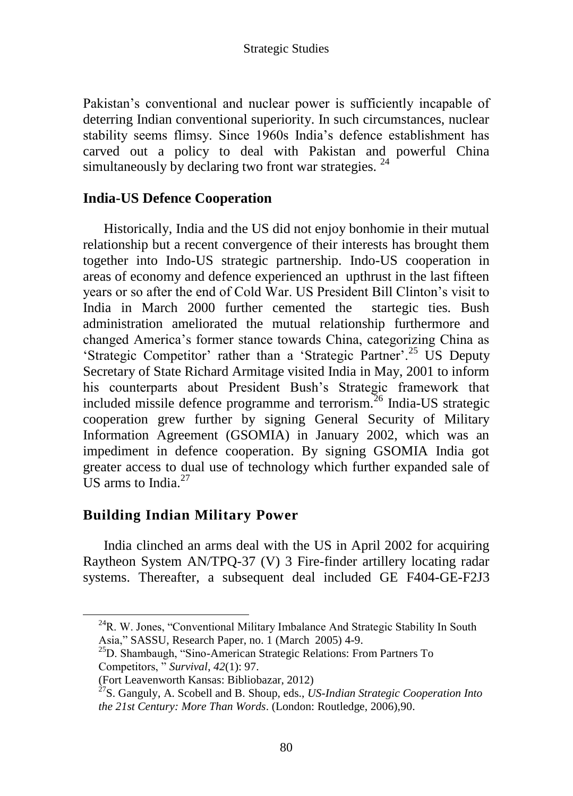Pakistan's conventional and nuclear power is sufficiently incapable of deterring Indian conventional superiority. In such circumstances, nuclear stability seems flimsy. Since 1960s India's defence establishment has carved out a policy to deal with Pakistan and powerful China simultaneously by declaring two front war strategies.<sup>24</sup>

# **India-US Defence Cooperation**

Historically, India and the US did not enjoy bonhomie in their mutual relationship but a recent convergence of their interests has brought them together into Indo-US strategic partnership. Indo-US cooperation in areas of economy and defence experienced an upthrust in the last fifteen years or so after the end of Cold War. US President Bill Clinton's visit to India in March 2000 further cemented the startegic ties. Bush administration ameliorated the mutual relationship furthermore and changed America's former stance towards China, categorizing China as 'Strategic Competitor' rather than a 'Strategic Partner'.<sup>25</sup> US Deputy Secretary of State Richard Armitage visited India in May, 2001 to inform his counterparts about President Bush's Strategic framework that included missile defence programme and terrorism. $^{26}$  India-US strategic cooperation grew further by signing General Security of Military Information Agreement (GSOMIA) in January 2002, which was an impediment in defence cooperation. By signing GSOMIA India got greater access to dual use of technology which further expanded sale of US arms to India. $27$ 

# **Building Indian Military Power**

India clinched an arms deal with the US in April 2002 for acquiring Raytheon System AN/TPQ-37 (V) 3 Fire-finder artillery locating radar systems. Thereafter, a subsequent deal included GE F404-GE-F2J3

 $24R$ . W. Jones, "Conventional Military Imbalance And Strategic Stability In South Asia," SASSU, Research Paper, no. 1 (March 2005) 4-9.

<sup>&</sup>lt;sup>25</sup>D. Shambaugh, "Sino-American Strategic Relations: From Partners To Competitors, ‖ *Survival*, *42*(1): 97.

<sup>(</sup>Fort Leavenworth Kansas: Bibliobazar, 2012)

<sup>27</sup>S. Ganguly, A. Scobell and B. Shoup, eds., *US-Indian Strategic Cooperation Into the 21st Century: More Than Words*. (London: Routledge, 2006),90.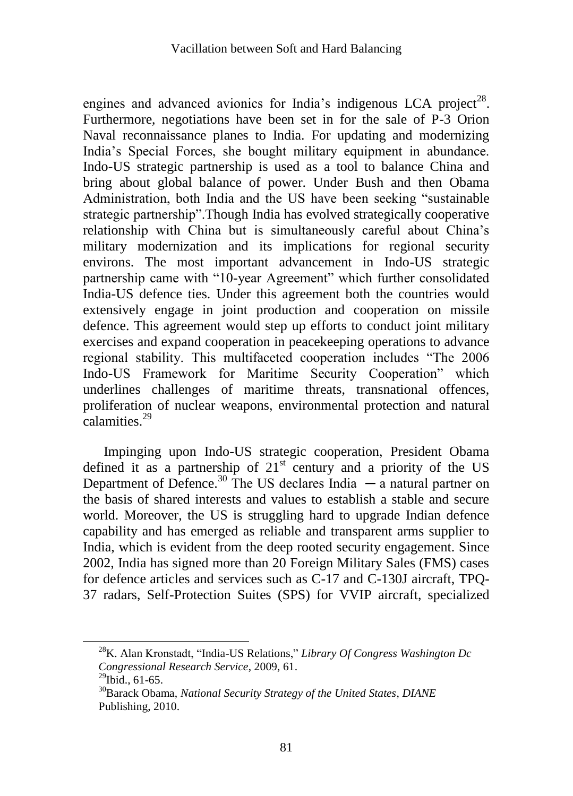engines and advanced avionics for India's indigenous LCA project<sup>28</sup>. Furthermore, negotiations have been set in for the sale of P-3 Orion Naval reconnaissance planes to India. For updating and modernizing India's Special Forces, she bought military equipment in abundance. Indo-US strategic partnership is used as a tool to balance China and bring about global balance of power. Under Bush and then Obama Administration, both India and the US have been seeking "sustainable" strategic partnership". Though India has evolved strategically cooperative relationship with China but is simultaneously careful about China's military modernization and its implications for regional security environs. The most important advancement in Indo-US strategic partnership came with "10-year Agreement" which further consolidated India-US defence ties. Under this agreement both the countries would extensively engage in joint production and cooperation on missile defence. This agreement would step up efforts to conduct joint military exercises and expand cooperation in peacekeeping operations to advance regional stability. This multifaceted cooperation includes "The 2006 Indo-US Framework for Maritime Security Cooperation" which underlines challenges of maritime threats, transnational offences, proliferation of nuclear weapons, environmental protection and natural calamities.<sup>29</sup>

Impinging upon Indo-US strategic cooperation, President Obama defined it as a partnership of  $21<sup>st</sup>$  century and a priority of the US Department of Defence.<sup>30</sup> The US declares India  $\overline{\phantom{a}}$  a natural partner on the basis of shared interests and values to establish a stable and secure world. Moreover, the US is struggling hard to upgrade Indian defence capability and has emerged as reliable and transparent arms supplier to India, which is evident from the deep rooted security engagement. Since 2002, India has signed more than 20 Foreign Military Sales (FMS) cases for defence articles and services such as C-17 and C-130J aircraft, TPQ-37 radars, Self-Protection Suites (SPS) for VVIP aircraft, specialized

<sup>&</sup>lt;sup>28</sup>K. Alan Kronstadt, "India-US Relations," *Library Of Congress Washington Dc Congressional Research Service*, 2009, 61.

 $^{29}$ Ibid., 61-65.

<sup>30</sup>Barack Obama, *National Security Strategy of the United States*, *DIANE* Publishing, 2010.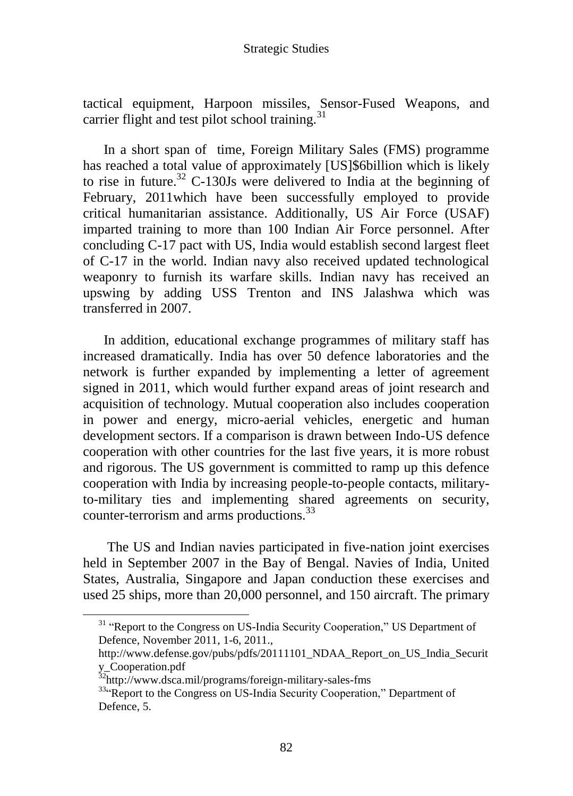tactical equipment, Harpoon missiles, Sensor-Fused Weapons, and carrier flight and test pilot school training. $31$ 

In a short span of time, Foreign Military Sales (FMS) programme has reached a total value of approximately [US]\$6billion which is likely to rise in future.<sup>32</sup> C-130Js were delivered to India at the beginning of February, 2011which have been successfully employed to provide critical humanitarian assistance. Additionally, US Air Force (USAF) imparted training to more than 100 Indian Air Force personnel. After concluding C-17 pact with US, India would establish second largest fleet of C-17 in the world. Indian navy also received updated technological weaponry to furnish its warfare skills. Indian navy has received an upswing by adding USS Trenton and INS Jalashwa which was transferred in 2007.

In addition, educational exchange programmes of military staff has increased dramatically. India has over 50 defence laboratories and the network is further expanded by implementing a letter of agreement signed in 2011, which would further expand areas of joint research and acquisition of technology. Mutual cooperation also includes cooperation in power and energy, micro-aerial vehicles, energetic and human development sectors. If a comparison is drawn between Indo-US defence cooperation with other countries for the last five years, it is more robust and rigorous. The US government is committed to ramp up this defence cooperation with India by increasing people-to-people contacts, militaryto-military ties and implementing shared agreements on security, counter-terrorism and arms productions.<sup>33</sup>

The US and Indian navies participated in five-nation joint exercises held in September 2007 in the Bay of Bengal. Navies of India, United States, Australia, Singapore and Japan conduction these exercises and used 25 ships, more than 20,000 personnel, and 150 aircraft. The primary

<sup>&</sup>lt;sup>31</sup> "Report to the Congress on US-India Security Cooperation," US Department of Defence, November 2011, 1-6, 2011.,

http://www.defense.gov/pubs/pdfs/20111101\_NDAA\_Report\_on\_US\_India\_Securit y\_Cooperation.pdf

<sup>&</sup>lt;sup>32</sup>http://www.dsca.mil/programs/foreign-military-sales-fms

<sup>33.</sup> Report to the Congress on US-India Security Cooperation," Department of Defence, 5.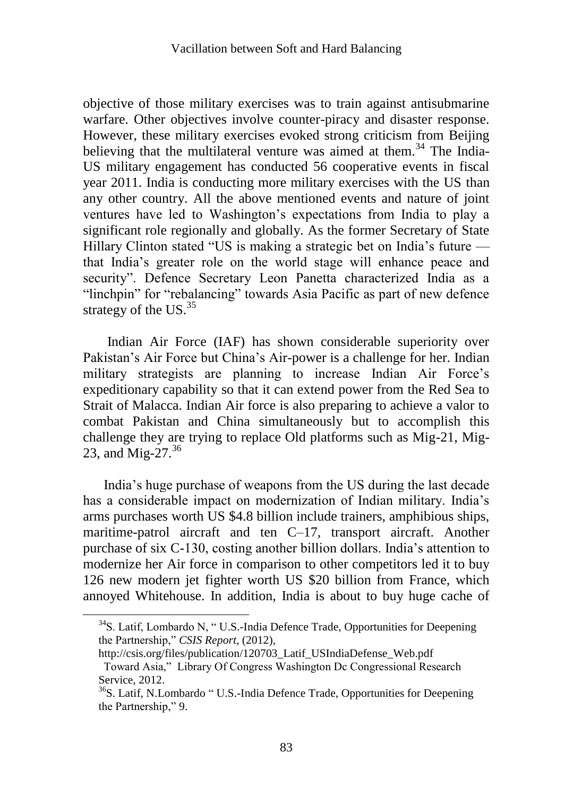objective of those military exercises was to train against antisubmarine warfare. Other objectives involve counter-piracy and disaster response. However, these military exercises evoked strong criticism from Beijing believing that the multilateral venture was aimed at them.<sup>34</sup> The India-US military engagement has conducted 56 cooperative events in fiscal year 2011. India is conducting more military exercises with the US than any other country. All the above mentioned events and nature of joint ventures have led to Washington's expectations from India to play a significant role regionally and globally. As the former Secretary of State Hillary Clinton stated "US is making a strategic bet on India's future  $$ that India's greater role on the world stage will enhance peace and security". Defence Secretary Leon Panetta characterized India as a "linchpin" for "rebalancing" towards Asia Pacific as part of new defence strategy of the US. $35$ 

Indian Air Force (IAF) has shown considerable superiority over Pakistan's Air Force but China's Air-power is a challenge for her. Indian military strategists are planning to increase Indian Air Force's expeditionary capability so that it can extend power from the Red Sea to Strait of Malacca. Indian Air force is also preparing to achieve a valor to combat Pakistan and China simultaneously but to accomplish this challenge they are trying to replace Old platforms such as Mig-21, Mig-23, and Mig-27. $36$ 

India's huge purchase of weapons from the US during the last decade has a considerable impact on modernization of Indian military. India's arms purchases worth US \$4.8 billion include trainers, amphibious ships, maritime-patrol aircraft and ten C–17, transport aircraft. Another purchase of six C-130, costing another billion dollars. India's attention to modernize her Air force in comparison to other competitors led it to buy 126 new modern jet fighter worth US \$20 billion from France, which annoyed Whitehouse. In addition, India is about to buy huge cache of

 $34$ S. Latif, Lombardo N, "U.S.-India Defence Trade, Opportunities for Deepening the Partnership," *CSIS Report*, (2012),

http://csis.org/files/publication/120703\_Latif\_USIndiaDefense\_Web.pdf

Toward Asia," Library Of Congress Washington Dc Congressional Research Service, 2012.

 $36$ S. Latif, N.Lombardo "U.S.-India Defence Trade, Opportunities for Deepening the Partnership," 9.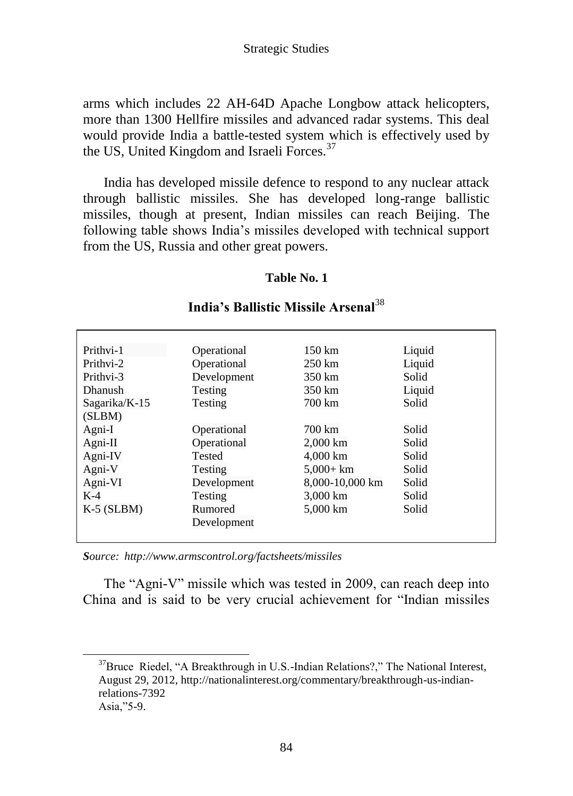arms which includes 22 AH-64D Apache Longbow attack helicopters, more than 1300 Hellfire missiles and advanced radar systems. This deal would provide India a battle-tested system which is effectively used by the US, United Kingdom and Israeli Forces.<sup>37</sup>

India has developed missile defence to respond to any nuclear attack through ballistic missiles. She has developed long-range ballistic missiles, though at present, Indian missiles can reach Beijing. The following table shows India's missiles developed with technical support from the US, Russia and other great powers.

#### **Table No. 1**

| Prithvi-1      | Operational | 150 km           | Liquid |
|----------------|-------------|------------------|--------|
| Prithvi-2      | Operational | $250 \text{ km}$ | Liquid |
| Prithvi-3      | Development | 350 km           | Solid  |
| <b>Dhanush</b> | Testing     | 350 km           | Liquid |
| Sagarika/K-15  | Testing     | 700 km           | Solid  |
| (SLBM)         |             |                  |        |
| Agni-I         | Operational | 700 km           | Solid  |
| $A$ gni-II     | Operational | 2,000 km         | Solid  |
| Agni-IV        | Tested      | 4,000 km         | Solid  |
| Agni-V         | Testing     | $5,000+km$       | Solid  |
| Agni-VI        | Development | 8,000-10,000 km  | Solid  |
| $K-4$          | Testing     | 3,000 km         | Solid  |
| $K-5$ (SLBM)   | Rumored     | 5,000 km         | Solid  |
|                | Development |                  |        |
|                |             |                  |        |

## **India's Ballistic Missile Arsenal**<sup>38</sup>

*Source: <http://www.armscontrol.org/factsheets/missiles>*

The "Agni-V" missile which was tested in 2009, can reach deep into China and is said to be very crucial achievement for "Indian missiles

 $37$ Bruce Riedel, "A Breakthrough in U.S.-Indian Relations?," The National Interest, August 29, 2012, http://nationalinterest.org/commentary/breakthrough-us-indianrelations-7392 Asia,"5-9.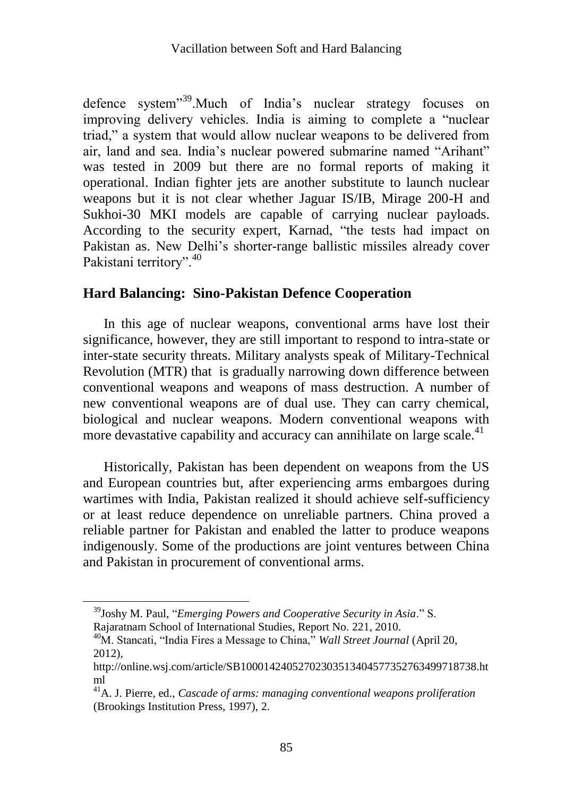defence system<sup>39</sup>.Much of India's nuclear strategy focuses on improving delivery vehicles. India is aiming to complete a "nuclear" triad," a system that would allow nuclear weapons to be delivered from air, land and sea. India's nuclear powered submarine named "Arihant" was tested in 2009 but there are no formal reports of making it operational. Indian fighter jets are another substitute to launch nuclear weapons but it is not clear whether Jaguar IS/IB, Mirage 200-H and Sukhoi-30 MKI models are capable of carrying nuclear payloads. According to the security expert, Karnad, "the tests had impact on Pakistan as. New Delhi's shorter-range ballistic missiles already cover Pakistani territory".<sup>40</sup>

### **Hard Balancing: Sino-Pakistan Defence Cooperation**

In this age of nuclear weapons, conventional arms have lost their significance, however, they are still important to respond to intra-state or inter-state security threats. Military analysts speak of Military-Technical Revolution (MTR) that is gradually narrowing down difference between conventional weapons and weapons of mass destruction. A number of new conventional weapons are of dual use. They can carry chemical, biological and nuclear weapons. Modern conventional weapons with more devastative capability and accuracy can annihilate on large scale.<sup>41</sup>

Historically, Pakistan has been dependent on weapons from the US and European countries but, after experiencing arms embargoes during wartimes with India, Pakistan realized it should achieve self-sufficiency or at least reduce dependence on unreliable partners. China proved a reliable partner for Pakistan and enabled the latter to produce weapons indigenously. Some of the productions are joint ventures between China and Pakistan in procurement of conventional arms.

<sup>&</sup>lt;sup>39</sup>Joshy M. Paul, "*Emerging Powers and Cooperative Security in Asia.*" S. Rajaratnam School of International Studies, Report No. 221, 2010.

<sup>&</sup>lt;sup>40</sup>M. Stancati, "India Fires a Message to China," *Wall Street Journal* (April 20, 2012),

http://online.wsj.com/article/SB10001424052702303513404577352763499718738.ht ml

<sup>41</sup>A. J. Pierre, ed., *Cascade of arms: managing conventional weapons proliferation* (Brookings Institution Press, 1997), 2.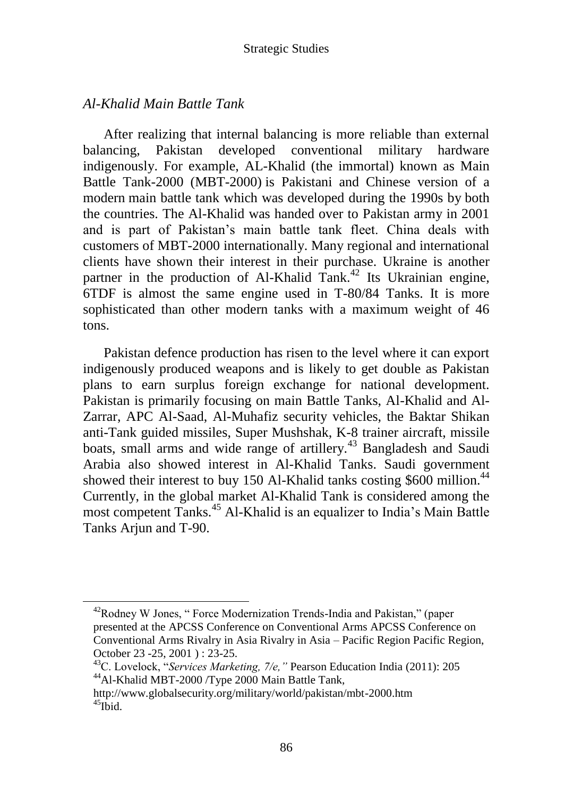## *Al-Khalid Main Battle Tank*

 $\overline{a}$ 

After realizing that internal balancing is more reliable than external balancing, Pakistan developed conventional military hardware indigenously. For example, AL-Khalid (the immortal) known as Main Battle Tank-2000 (MBT-2000) is Pakistani and Chinese version of a modern main battle tank which was developed during the 1990s by both the countries. The Al-Khalid was handed over to Pakistan army in 2001 and is part of Pakistan's main battle tank fleet. China deals with customers of MBT-2000 internationally. Many regional and international clients have shown their interest in their purchase. Ukraine is another partner in the production of Al-Khalid Tank.<sup>42</sup> Its Ukrainian engine, 6TDF is almost the same engine used in T-80/84 Tanks. It is more sophisticated than other modern tanks with a maximum weight of 46 tons.

Pakistan defence production has risen to the level where it can export indigenously produced weapons and is likely to get double as Pakistan plans to earn surplus foreign exchange for national development. Pakistan is primarily focusing on main Battle Tanks, Al-Khalid and Al-Zarrar, APC Al-Saad, Al-Muhafiz security vehicles, the Baktar Shikan anti-Tank guided missiles, Super Mushshak, K-8 trainer aircraft, missile boats, small arms and wide range of artillery.<sup>43</sup> Bangladesh and Saudi Arabia also showed interest in Al-Khalid Tanks. Saudi government showed their interest to buy 150 Al-Khalid tanks costing \$600 million.<sup>44</sup> Currently, in the global market Al-Khalid Tank is considered among the most competent Tanks.<sup>45</sup> Al-Khalid is an equalizer to India's Main Battle Tanks Arjun and T-90.

 $42$ Rodney W Jones, "Force Modernization Trends-India and Pakistan," (paper presented at the APCSS Conference on Conventional Arms APCSS Conference on Conventional Arms Rivalry in Asia Rivalry in Asia – Pacific Region Pacific Region, October 23 -25, 2001 ) : 23-25.

<sup>&</sup>lt;sup>43</sup>C. Lovelock, *"Services Marketing, 7/e,"* Pearson Education India (2011): 205 <sup>44</sup>Al-Khalid MBT-2000 /Type 2000 Main Battle Tank,

http://www.globalsecurity.org/military/world/pakistan/mbt-2000.htm  $45$ Ibid.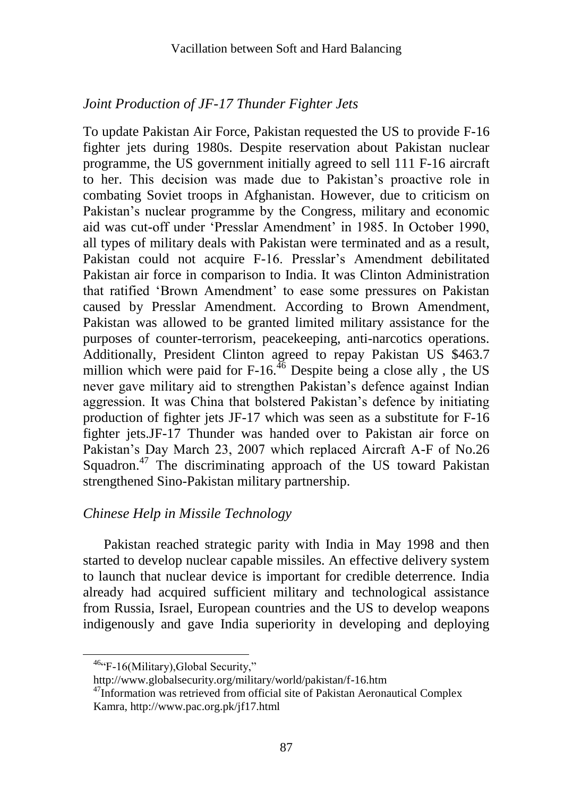## *Joint Production of JF-17 Thunder Fighter Jets*

To update Pakistan Air Force, Pakistan requested the US to provide F-16 fighter jets during 1980s. Despite reservation about Pakistan nuclear programme, the US government initially agreed to sell 111 F-16 aircraft to her. This decision was made due to Pakistan's proactive role in combating Soviet troops in Afghanistan. However, due to criticism on Pakistan's nuclear programme by the Congress, military and economic aid was cut-off under ‗Presslar Amendment' in 1985. In October 1990, all types of military deals with Pakistan were terminated and as a result, Pakistan could not acquire F-16. Presslar's Amendment debilitated Pakistan air force in comparison to India. It was Clinton Administration that ratified 'Brown Amendment' to ease some pressures on Pakistan caused by Presslar Amendment. According to Brown Amendment, Pakistan was allowed to be granted limited military assistance for the purposes of counter-terrorism, peacekeeping, anti-narcotics operations. Additionally, President Clinton agreed to repay Pakistan US \$463.7 million which were paid for  $F-16$ .<sup>46</sup> Despite being a close ally, the US never gave military aid to strengthen Pakistan's defence against Indian aggression. It was China that bolstered Pakistan's defence by initiating production of fighter jets JF-17 which was seen as a substitute for F-16 fighter jets.JF-17 Thunder was handed over to Pakistan air force on Pakistan's Day March 23, 2007 which replaced Aircraft A-F of No.26 Squadron.<sup>47</sup> The discriminating approach of the US toward Pakistan strengthened Sino-Pakistan military partnership.

## *Chinese Help in Missile Technology*

Pakistan reached strategic parity with India in May 1998 and then started to develop nuclear capable missiles. An effective delivery system to launch that nuclear device is important for credible deterrence. India already had acquired sufficient military and technological assistance from Russia, Israel, European countries and the US to develop weapons indigenously and gave India superiority in developing and deploying

 $46\text{°G} - 16$ (Military), Global Security,"

http://www.globalsecurity.org/military/world/pakistan/f-16.htm

<sup>&</sup>lt;sup>47</sup>Information was retrieved from official site of Pakistan Aeronautical Complex Kamra, http://www.pac.org.pk/jf17.html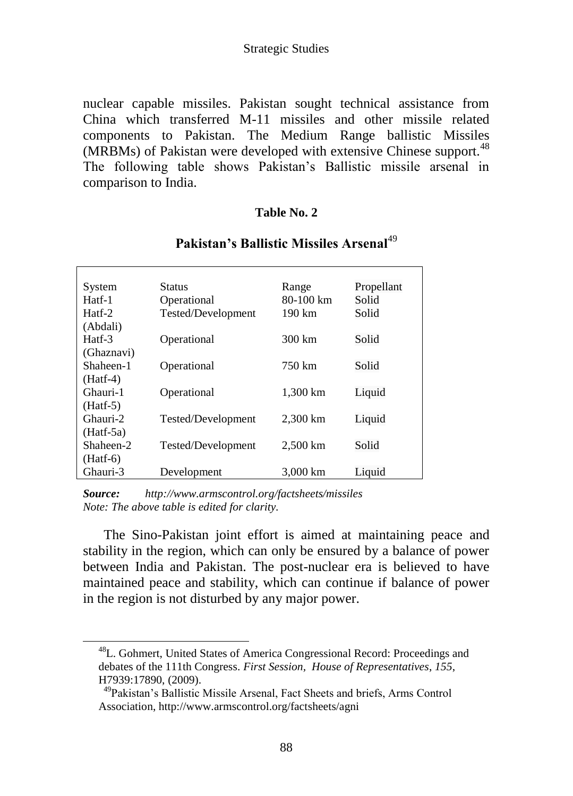nuclear capable missiles. Pakistan sought technical assistance from China which transferred M-11 missiles and other missile related components to Pakistan. The Medium Range ballistic Missiles (MRBMs) of Pakistan were developed with extensive Chinese support.<sup>48</sup> The following table shows Pakistan's Ballistic missile arsenal in comparison to India.

#### **Table No. 2**

| System      | Status             | Range               | Propellant |
|-------------|--------------------|---------------------|------------|
| Hatf-1      | Operational        | 80-100 km           | Solid      |
| Hatf-2      | Tested/Development | 190 km              | Solid      |
| (Abdali)    |                    |                     |            |
| Hatf-3      | Operational        | 300 km              | Solid      |
| (Ghaznavi)  |                    |                     |            |
| Shaheen-1   | Operational        | 750 km              | Solid      |
| $(Haff-4)$  |                    |                     |            |
| Ghauri-1    | Operational        | 1,300 km            | Liquid     |
| $(Haff-5)$  |                    |                     |            |
| Ghauri-2    | Tested/Development | $2.300 \mathrm{km}$ | Liquid     |
| $(Haff-5a)$ |                    |                     |            |
| Shaheen-2   | Tested/Development | $2.500 \mathrm{km}$ | Solid      |
| $(Haff-6)$  |                    |                     |            |
| Ghauri-3    | Development        | $3.000 \mathrm{km}$ | Liquid     |

#### **Pakistan's Ballistic Missiles Arsenal**<sup>49</sup>

*Source: http://www.armscontrol.org/factsheets/missiles Note: The above table is edited for clarity.*

 $\overline{a}$ 

The Sino-Pakistan joint effort is aimed at maintaining peace and stability in the region, which can only be ensured by a balance of power between India and Pakistan. The post-nuclear era is believed to have maintained peace and stability, which can continue if balance of power in the region is not disturbed by any major power.

<sup>48</sup>L. Gohmert, United States of America Congressional Record: Proceedings and debates of the 111th Congress. *First Session, House of Representatives*, *155*, H7939:17890, (2009).

<sup>49</sup>Pakistan's Ballistic Missile Arsenal, Fact Sheets and briefs, Arms Control Association, http://www.armscontrol.org/factsheets/agni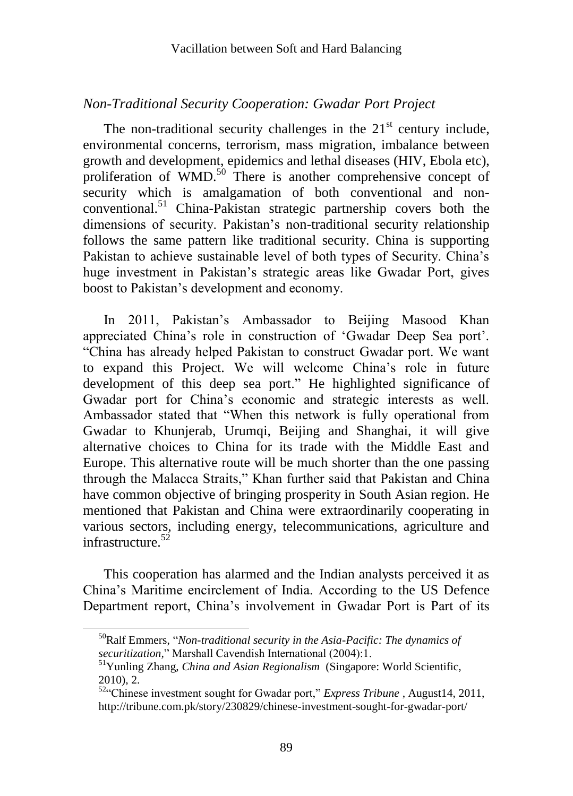### *Non-Traditional Security Cooperation: Gwadar Port Project*

The non-traditional security challenges in the  $21<sup>st</sup>$  century include, environmental concerns, terrorism, mass migration, imbalance between growth and development, epidemics and lethal diseases (HIV, Ebola etc), proliferation of  $\text{WMD}$ .<sup>50</sup> There is another comprehensive concept of security which is amalgamation of both conventional and nonconventional.<sup>51</sup> China-Pakistan strategic partnership covers both the dimensions of security. Pakistan's non-traditional security relationship follows the same pattern like traditional security. China is supporting Pakistan to achieve sustainable level of both types of Security. China's huge investment in Pakistan's strategic areas like Gwadar Port, gives boost to Pakistan's development and economy.

In 2011, Pakistan's Ambassador to Beijing Masood Khan appreciated China's role in construction of 'Gwadar Deep Sea port'. ―China has already helped Pakistan to construct Gwadar port. We want to expand this Project. We will welcome China's role in future development of this deep sea port." He highlighted significance of Gwadar port for China's economic and strategic interests as well. Ambassador stated that "When this network is fully operational from Gwadar to Khunjerab, Urumqi, Beijing and Shanghai, it will give alternative choices to China for its trade with the Middle East and Europe. This alternative route will be much shorter than the one passing through the Malacca Straits," Khan further said that Pakistan and China have common objective of bringing prosperity in South Asian region. He mentioned that Pakistan and China were extraordinarily cooperating in various sectors, including energy, telecommunications, agriculture and infrastructure. $52$ 

This cooperation has alarmed and the Indian analysts perceived it as China's Maritime encirclement of India. According to the US Defence Department report, China's involvement in Gwadar Port is Part of its

<sup>&</sup>lt;sup>50</sup>Ralf Emmers, "*Non-traditional security in the Asia-Pacific: The dynamics of securitization,*‖ Marshall Cavendish International (2004):1.

<sup>&</sup>lt;sup>51</sup>Yunling Zhang, *China and Asian Regionalism* (Singapore: World Scientific, 2010), 2.

<sup>&</sup>lt;sup>52</sup><sup>c</sup>Chinese investment sought for Gwadar port," *Express Tribune*, August14, 2011, http://tribune.com.pk/story/230829/chinese-investment-sought-for-gwadar-port/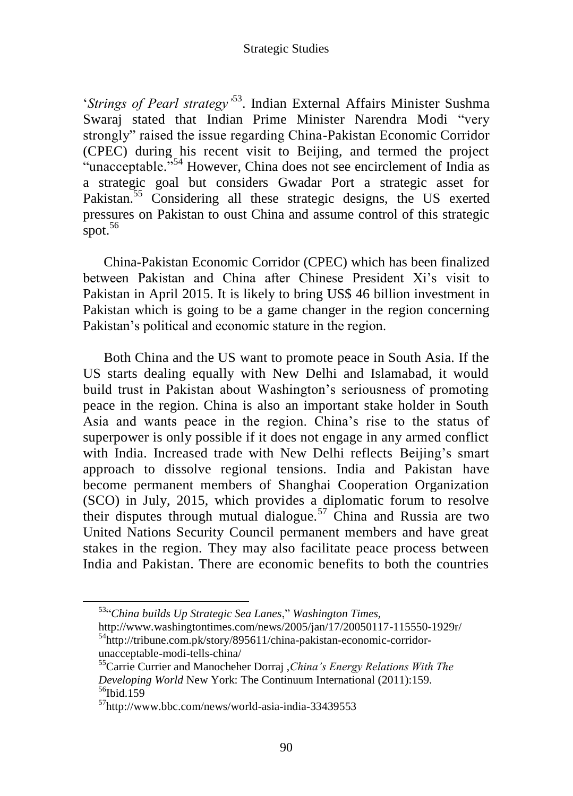‗*Strings of Pearl strategy'*<sup>53</sup> . Indian External Affairs Minister Sushma Swaraj stated that Indian Prime Minister Narendra Modi "very strongly" raised the issue regarding China-Pakistan Economic Corridor (CPEC) during his recent visit to Beijing, and termed the project "unacceptable."<sup>54</sup> However, China does not see encirclement of India as a strategic goal but considers Gwadar Port a strategic asset for Pakistan.<sup>55</sup> Considering all these strategic designs, the US exerted pressures on Pakistan to oust China and assume control of this strategic spot. $56$ 

China-Pakistan Economic Corridor (CPEC) which has been finalized between Pakistan and China after Chinese President Xi's visit to Pakistan in April 2015. It is likely to bring US\$ 46 billion investment in Pakistan which is going to be a game changer in the region concerning Pakistan's political and economic stature in the region.

Both China and the US want to promote peace in South Asia. If the US starts dealing equally with New Delhi and Islamabad, it would build trust in Pakistan about Washington's seriousness of promoting peace in the region. China is also an important stake holder in South Asia and wants peace in the region. China's rise to the status of superpower is only possible if it does not engage in any armed conflict with India. Increased trade with New Delhi reflects Beijing's smart approach to dissolve regional tensions. India and Pakistan have become permanent members of Shanghai Cooperation Organization (SCO) in July, 2015, which provides a diplomatic forum to resolve their disputes through mutual dialogue.<sup>57</sup> China and Russia are two United Nations Security Council permanent members and have great stakes in the region. They may also facilitate peace process between India and Pakistan. There are economic benefits to both the countries

<sup>53</sup>―*China builds Up Strategic Sea Lanes*,‖ *Washington Times,*

http://www.washingtontimes.com/news/2005/jan/17/20050117-115550-1929r/ <sup>54</sup>http://tribune.com.pk/story/895611/china-pakistan-economic-corridorunacceptable-modi-tells-china/

<sup>55</sup>Carrie Currier and Manocheher Dorraj ,*China's Energy Relations With The Developing World* New York: The Continuum International (2011):159. <sup>56</sup>Ibid.159

<sup>&</sup>lt;sup>57</sup>http://www.bbc.com/news/world-asia-india-33439553